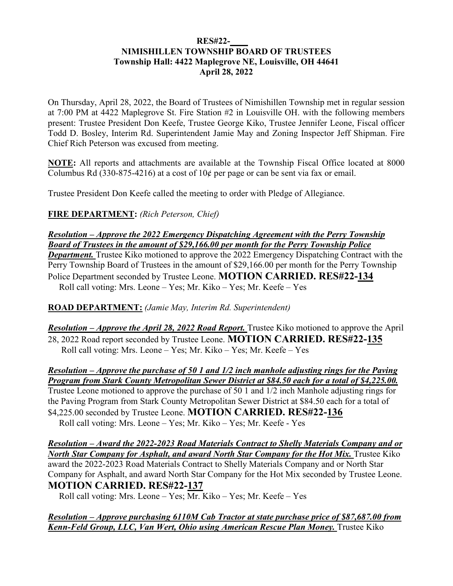#### **RES#22-\_\_\_\_ NIMISHILLEN TOWNSHIP BOARD OF TRUSTEES Township Hall: 4422 Maplegrove NE, Louisville, OH 44641 April 28, 2022**

On Thursday, April 28, 2022, the Board of Trustees of Nimishillen Township met in regular session at 7:00 PM at 4422 Maplegrove St. Fire Station #2 in Louisville OH. with the following members present: Trustee President Don Keefe, Trustee George Kiko, Trustee Jennifer Leone, Fiscal officer Todd D. Bosley, Interim Rd. Superintendent Jamie May and Zoning Inspector Jeff Shipman. Fire Chief Rich Peterson was excused from meeting.

**NOTE:** All reports and attachments are available at the Township Fiscal Office located at 8000 Columbus Rd (330-875-4216) at a cost of  $10¢$  per page or can be sent via fax or email.

Trustee President Don Keefe called the meeting to order with Pledge of Allegiance.

**FIRE DEPARTMENT:** *(Rich Peterson, Chief)* 

*Resolution – Approve the 2022 Emergency Dispatching Agreement with the Perry Township Board of Trustees in the amount of \$29,166.00 per month for the Perry Township Police Department.* Trustee Kiko motioned to approve the 2022 Emergency Dispatching Contract with the Perry Township Board of Trustees in the amount of \$29,166.00 per month for the Perry Township Police Department seconded by Trustee Leone. **MOTION CARRIED. RES#22-134**  Roll call voting: Mrs. Leone – Yes; Mr. Kiko – Yes; Mr. Keefe – Yes

**ROAD DEPARTMENT:** *(Jamie May, Interim Rd. Superintendent)*

*Resolution – Approve the April 28, 2022 Road Report.* Trustee Kiko motioned to approve the April 28, 2022 Road report seconded by Trustee Leone. **MOTION CARRIED. RES#22-135**  Roll call voting: Mrs. Leone – Yes; Mr. Kiko – Yes; Mr. Keefe – Yes

*Resolution – Approve the purchase of 50 1 and 1/2 inch manhole adjusting rings for the Paving Program from Stark County Metropolitan Sewer District at \$84.50 each for a total of \$4,225.00.*  Trustee Leone motioned to approve the purchase of 50 1 and 1/2 inch Manhole adjusting rings for the Paving Program from Stark County Metropolitan Sewer District at \$84.50 each for a total of \$4,225.00 seconded by Trustee Leone. **MOTION CARRIED. RES#22-136**  Roll call voting: Mrs. Leone – Yes; Mr. Kiko – Yes; Mr. Keefe - Yes

*Resolution – Award the 2022-2023 Road Materials Contract to Shelly Materials Company and or North Star Company for Asphalt, and award North Star Company for the Hot Mix.* **Trustee Kiko** award the 2022-2023 Road Materials Contract to Shelly Materials Company and or North Star Company for Asphalt, and award North Star Company for the Hot Mix seconded by Trustee Leone. **MOTION CARRIED. RES#22-137** 

Roll call voting: Mrs. Leone – Yes; Mr. Kiko – Yes; Mr. Keefe – Yes

#### *Resolution – Approve purchasing 6110M Cab Tractor at state purchase price of \$87,687.00 from Kenn-Feld Group, LLC, Van Wert, Ohio using American Rescue Plan Money. Trustee Kiko*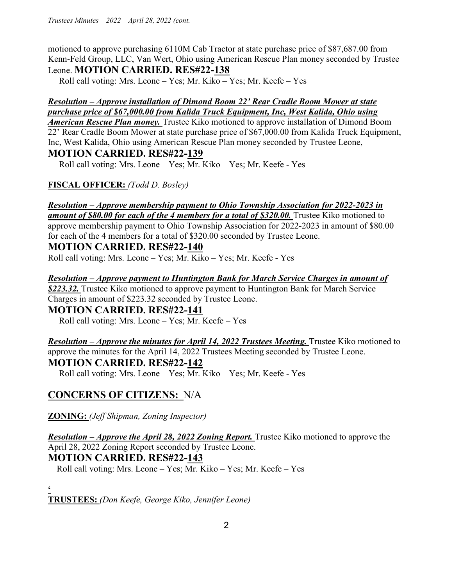motioned to approve purchasing 6110M Cab Tractor at state purchase price of \$87,687.00 from Kenn-Feld Group, LLC, Van Wert, Ohio using American Rescue Plan money seconded by Trustee Leone. **MOTION CARRIED. RES#22-138** 

Roll call voting: Mrs. Leone – Yes; Mr. Kiko – Yes; Mr. Keefe – Yes

## *Resolution – Approve installation of Dimond Boom 22' Rear Cradle Boom Mower at state purchase price of \$67,000.00 from Kalida Truck Equipment, Inc, West Kalida, Ohio using*

*American Rescue Plan money.* Trustee Kiko motioned to approve installation of Dimond Boom 22' Rear Cradle Boom Mower at state purchase price of \$67,000.00 from Kalida Truck Equipment, Inc, West Kalida, Ohio using American Rescue Plan money seconded by Trustee Leone,

## **MOTION CARRIED. RES#22-139**

Roll call voting: Mrs. Leone – Yes; Mr. Kiko – Yes; Mr. Keefe - Yes

**FISCAL OFFICER:** *(Todd D. Bosley)* 

# *Resolution – Approve membership payment to Ohio Township Association for 2022-2023 in*

amount of \$80.00 for each of the 4 members for a total of \$320.00. Trustee Kiko motioned to approve membership payment to Ohio Township Association for 2022-2023 in amount of \$80.00 for each of the 4 members for a total of \$320.00 seconded by Trustee Leone.

## **MOTION CARRIED. RES#22-140**

Roll call voting: Mrs. Leone – Yes; Mr. Kiko – Yes; Mr. Keefe - Yes

*Resolution – Approve payment to Huntington Bank for March Service Charges in amount of* 

*\$223.32.* Trustee Kiko motioned to approve payment to Huntington Bank for March Service Charges in amount of \$223.32 seconded by Trustee Leone.

## **MOTION CARRIED. RES#22-141**

Roll call voting: Mrs. Leone – Yes; Mr. Keefe – Yes

*Resolution – Approve the minutes for April 14, 2022 Trustees Meeting. Trustee Kiko motioned to* approve the minutes for the April 14, 2022 Trustees Meeting seconded by Trustee Leone. **MOTION CARRIED. RES#22-142**

Roll call voting: Mrs. Leone – Yes; Mr. Kiko – Yes; Mr. Keefe - Yes

## **CONCERNS OF CITIZENS:** N/A

**ZONING:** *(Jeff Shipman, Zoning Inspector)* 

*Resolution – Approve the April 28, 2022 Zoning Report.* Trustee Kiko motioned to approve the April 28, 2022 Zoning Report seconded by Trustee Leone. **MOTION CARRIED. RES#22-143**

Roll call voting: Mrs. Leone – Yes; Mr. Kiko – Yes; Mr. Keefe – Yes

**'** 

**TRUSTEES:** *(Don Keefe, George Kiko, Jennifer Leone)*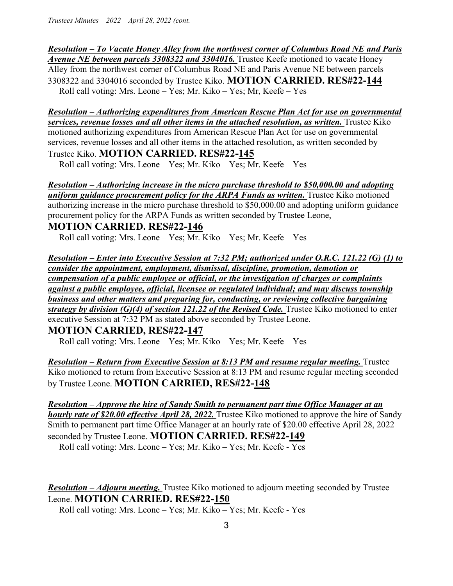### *Resolution – To Vacate Honey Alley from the northwest corner of Columbus Road NE and Paris*

*Avenue NE between parcels 3308322 and 3304016.* Trustee Keefe motioned to vacate Honey Alley from the northwest corner of Columbus Road NE and Paris Avenue NE between parcels 3308322 and 3304016 seconded by Trustee Kiko. **MOTION CARRIED. RES#22-144**  Roll call voting: Mrs. Leone – Yes; Mr. Kiko – Yes; Mr, Keefe – Yes

#### *Resolution – Authorizing expenditures from American Rescue Plan Act for use on governmental services, revenue losses and all other items in the attached resolution, as written.* Trustee Kiko motioned authorizing expenditures from American Rescue Plan Act for use on governmental services, revenue losses and all other items in the attached resolution, as written seconded by Trustee Kiko. **MOTION CARRIED. RES#22-145**

Roll call voting: Mrs. Leone – Yes; Mr. Kiko – Yes; Mr. Keefe – Yes

#### *Resolution – Authorizing increase in the micro purchase threshold to \$50,000.00 and adopting*  **uniform guidance procurement policy for the ARPA Funds as written.** Trustee Kiko motioned authorizing increase in the micro purchase threshold to \$50,000.00 and adopting uniform guidance procurement policy for the ARPA Funds as written seconded by Trustee Leone, **MOTION CARRIED. RES#22-146**

Roll call voting: Mrs. Leone – Yes; Mr. Kiko – Yes; Mr. Keefe – Yes

*Resolution – Enter into Executive Session at 7:32 PM; authorized under O.R.C. 121.22 (G) (1) to consider the appointment, employment, dismissal, discipline, promotion, demotion or compensation of a public employee or official, or the investigation of charges or complaints against a public employee, official, licensee or regulated individual; and may discuss township business and other matters and preparing for, conducting, or reviewing collective bargaining strategy by division (G)(4) of section 121.22 of the Revised Code.* **Trustee Kiko motioned to enter** executive Session at 7:32 PM as stated above seconded by Trustee Leone.

### **MOTION CARRIED, RES#22-147**

Roll call voting: Mrs. Leone – Yes; Mr. Kiko – Yes; Mr. Keefe – Yes

*Resolution – Return from Executive Session at 8:13 PM and resume regular meeting.* Trustee Kiko motioned to return from Executive Session at 8:13 PM and resume regular meeting seconded by Trustee Leone. **MOTION CARRIED, RES#22-148** 

*Resolution – Approve the hire of Sandy Smith to permanent part time Office Manager at an hourly rate of \$20.00 effective April 28, 2022.* Trustee Kiko motioned to approve the hire of Sandy Smith to permanent part time Office Manager at an hourly rate of \$20.00 effective April 28, 2022 seconded by Trustee Leone. **MOTION CARRIED. RES#22-149**  Roll call voting: Mrs. Leone – Yes; Mr. Kiko – Yes; Mr. Keefe - Yes

*Resolution – Adjourn meeting.* Trustee Kiko motioned to adjourn meeting seconded by Trustee Leone. **MOTION CARRIED. RES#22-150**

Roll call voting: Mrs. Leone – Yes; Mr. Kiko – Yes; Mr. Keefe - Yes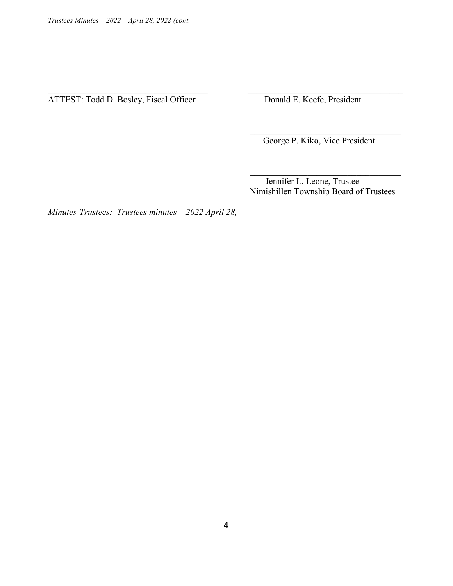ATTEST: Todd D. Bosley, Fiscal Officer Donald E. Keefe, President

George P. Kiko, Vice President

 Jennifer L. Leone, Trustee Nimishillen Township Board of Trustees

*Minutes-Trustees: Trustees minutes – 2022 April 28,* 

 $\mathcal{L}_\text{max}$  and  $\mathcal{L}_\text{max}$  and  $\mathcal{L}_\text{max}$  and  $\mathcal{L}_\text{max}$  and  $\mathcal{L}_\text{max}$  and  $\mathcal{L}_\text{max}$